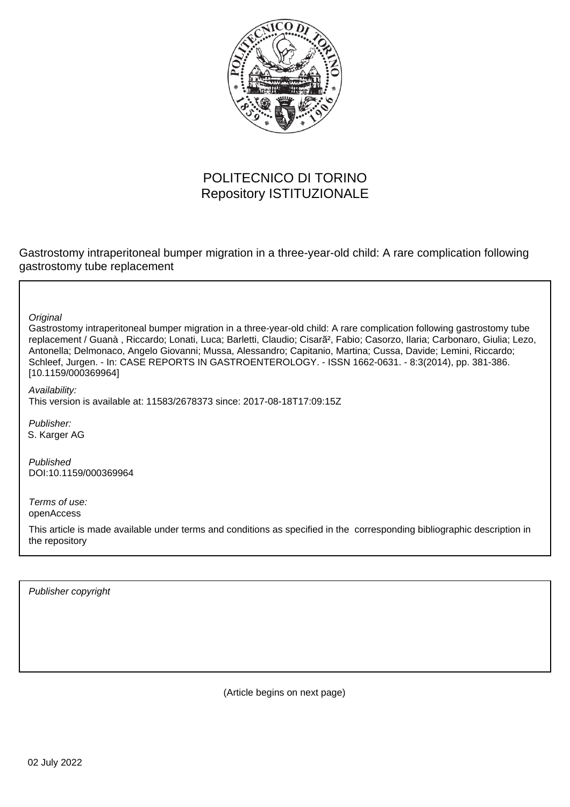

### POLITECNICO DI TORINO Repository ISTITUZIONALE

Gastrostomy intraperitoneal bumper migration in a three-year-old child: A rare complication following gastrostomy tube replacement

**Original** 

Gastrostomy intraperitoneal bumper migration in a three-year-old child: A rare complication following gastrostomy tube replacement / Guanà , Riccardo; Lonati, Luca; Barletti, Claudio; Cisarã², Fabio; Casorzo, Ilaria; Carbonaro, Giulia; Lezo, Antonella; Delmonaco, Angelo Giovanni; Mussa, Alessandro; Capitanio, Martina; Cussa, Davide; Lemini, Riccardo; Schleef, Jurgen. - In: CASE REPORTS IN GASTROENTEROLOGY. - ISSN 1662-0631. - 8:3(2014), pp. 381-386. [10.1159/000369964]

Availability: This version is available at: 11583/2678373 since: 2017-08-18T17:09:15Z

Publisher: S. Karger AG

Published DOI:10.1159/000369964

Terms of use: openAccess

This article is made available under terms and conditions as specified in the corresponding bibliographic description in the repository

Publisher copyright

(Article begins on next page)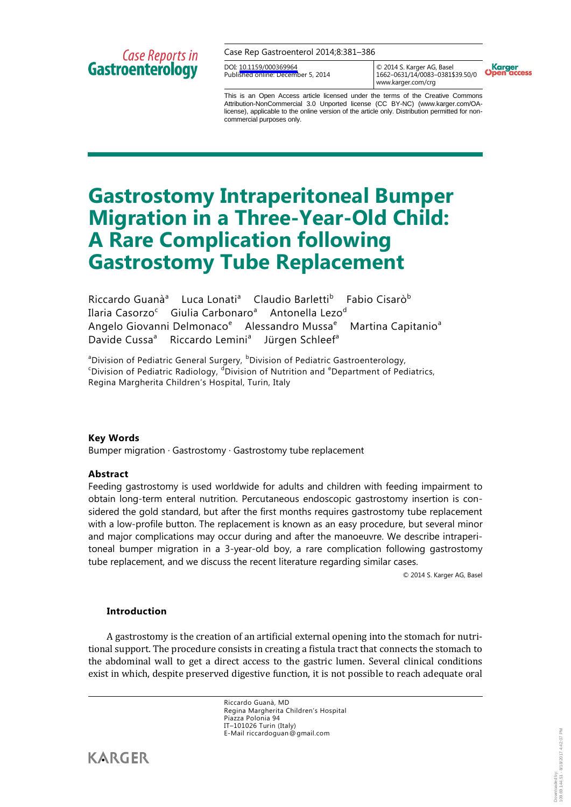### Case Reports in **Gastroenterology**

Case Rep Gastroenterol 2014;8:381–386

DOI: [10.1159/000369964](http://dx.doi.org/10.1159%2F000369964) Published online: December 5, 2014

© 2014 S. Karger AG, Basel 1662‒0631/14/0083‒0381\$39.50/0 www.karger.com/crg



This is an Open Access article licensed under the terms of the Creative Commons Attribution-NonCommercial 3.0 Unported license (CC BY-NC) (www.karger.com/OAlicense), applicable to the online version of the article only. Distribution permitted for noncommercial purposes only.

## **Gastrostomy Intraperitoneal Bumper Migration in a Three-Year-Old Child: A Rare Complication following Gastrostomy Tube Replacement**

Riccardo Guanà<sup>a</sup> Luca Lonati<sup>a</sup> Claudio Barletti<sup>b</sup> Fabio Cisarò<sup>b</sup> Ilaria Casorzo<sup>c</sup> Giulia Carbonaro<sup>a</sup> Antonella Lezo<sup>d</sup> Angelo Giovanni Delmonaco<sup>e</sup> Alessandro Mussa<sup>e</sup> Martina Capitanio<sup>a</sup> Davide Cussa<sup>a</sup> Riccardo Lemini<sup>a</sup> Jürgen Schleef<sup>a</sup>

<sup>a</sup>Division of Pediatric General Surgery, <sup>b</sup>Division of Pediatric Gastroenterology,  $\text{C}\text{Division}$  of Pediatric Radiology,  $\text{C}\text{Division}$  of Nutrition and  $\text{C}\text{Department}$  of Pediatrics, Regina Margherita Children's Hospital, Turin, Italy

#### **Key Words**

Bumper migration · Gastrostomy · Gastrostomy tube replacement

#### **Abstract**

Feeding gastrostomy is used worldwide for adults and children with feeding impairment to obtain long-term enteral nutrition. Percutaneous endoscopic gastrostomy insertion is considered the gold standard, but after the first months requires gastrostomy tube replacement with a low-profile button. The replacement is known as an easy procedure, but several minor and major complications may occur during and after the manoeuvre. We describe intraperitoneal bumper migration in a 3-year-old boy, a rare complication following gastrostomy tube replacement, and we discuss the recent literature regarding similar cases.

© 2014 S. Karger AG, Basel

#### **Introduction**

A gastrostomy is the creation of an artificial external opening into the stomach for nutritional support. The procedure consists in creating a fistula tract that connects the stomach to the abdominal wall to get a direct access to the gastric lumen. Several clinical conditions exist in which, despite preserved digestive function, it is not possible to reach adequate oral

> Riccardo Guanà, MD Regina Margherita Children's Hospital Piazza Polonia 94 IT–101026 Turin (Italy) E-Mail riccardoguan@gmail.com

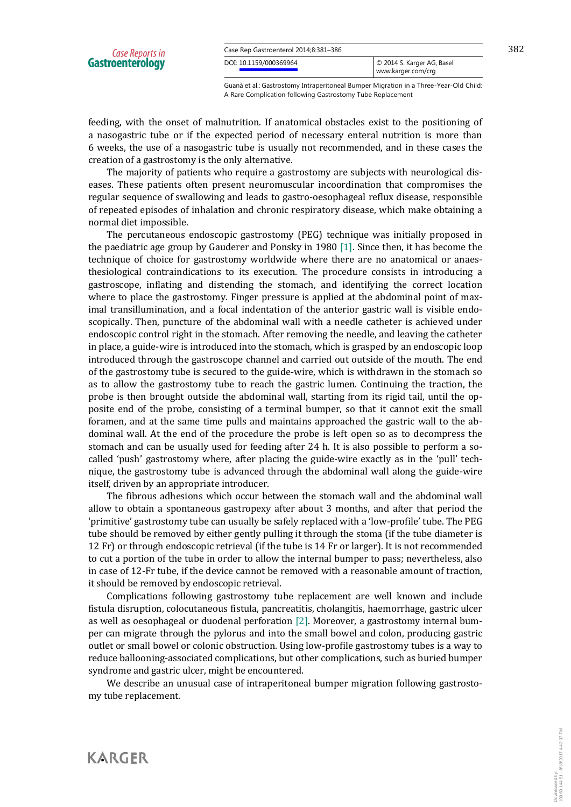#### **Case Reports in** Gastroenterology

| Case Rep Gastroenterol 2014;8:381-386 |                                                  |
|---------------------------------------|--------------------------------------------------|
| DOI: 10.1159/000369964                | © 2014 S. Karger AG, Basel<br>www.karger.com/crg |

Guanà et al.: Gastrostomy Intraperitoneal Bumper Migration in a Three-Year-Old Child: A Rare Complication following Gastrostomy Tube Replacement

feeding, with the onset of malnutrition. If anatomical obstacles exist to the positioning of a nasogastric tube or if the expected period of necessary enteral nutrition is more than 6 weeks, the use of a nasogastric tube is usually not recommended, and in these cases the creation of a gastrostomy is the only alternative.

The majority of patients who require a gastrostomy are subjects with neurological diseases. These patients often present neuromuscular incoordination that compromises the regular sequence of swallowing and leads to gastro-oesophageal reflux disease, responsible of repeated episodes of inhalation and chronic respiratory disease, which make obtaining a normal diet impossible.

The percutaneous endoscopic gastrostomy (PEG) technique was initially proposed in the paediatric age group by Gauderer and Ponsky in 1980 [1]. Since then, it has become the technique of choice for gastrostomy worldwide where there are no anatomical or anaesthesiological contraindications to its execution. The procedure consists in introducing a gastroscope, inflating and distending the stomach, and identifying the correct location where to place the gastrostomy. Finger pressure is applied at the abdominal point of maximal transillumination, and a focal indentation of the anterior gastric wall is visible endoscopically. Then, puncture of the abdominal wall with a needle catheter is achieved under endoscopic control right in the stomach. After removing the needle, and leaving the catheter in place, a guide-wire is introduced into the stomach, which is grasped by an endoscopic loop introduced through the gastroscope channel and carried out outside of the mouth. The end of the gastrostomy tube is secured to the guide-wire, which is withdrawn in the stomach so as to allow the gastrostomy tube to reach the gastric lumen. Continuing the traction, the probe is then brought outside the abdominal wall, starting from its rigid tail, until the opposite end of the probe, consisting of a terminal bumper, so that it cannot exit the small foramen, and at the same time pulls and maintains approached the gastric wall to the abdominal wall. At the end of the procedure the probe is left open so as to decompress the stomach and can be usually used for feeding after 24 h. It is also possible to perform a socalled 'push' gastrostomy where, after placing the guide-wire exactly as in the 'pull' technique, the gastrostomy tube is advanced through the abdominal wall along the guide-wire itself, driven by an appropriate introducer.

The fibrous adhesions which occur between the stomach wall and the abdominal wall allow to obtain a spontaneous gastropexy after about 3 months, and after that period the 'primitive' gastrostomy tube can usually be safely replaced with a 'low-profile' tube. The PEG tube should be removed by either gently pulling it through the stoma (if the tube diameter is 12 Fr) or through endoscopic retrieval (if the tube is 14 Fr or larger). It is not recommended to cut a portion of the tube in order to allow the internal bumper to pass; nevertheless, also in case of 12-Fr tube, if the device cannot be removed with a reasonable amount of traction, it should be removed by endoscopic retrieval.

Complications following gastrostomy tube replacement are well known and include fistula disruption, colocutaneous fistula, pancreatitis, cholangitis, haemorrhage, gastric ulcer as well as oesophageal or duodenal perforation [2]. Moreover, a gastrostomy internal bumper can migrate through the pylorus and into the small bowel and colon, producing gastric outlet or small bowel or colonic obstruction. Using low-profile gastrostomy tubes is a way to reduce ballooning-associated complications, but other complications, such as buried bumper syndrome and gastric ulcer, might be encountered.

We describe an unusual case of intraperitoneal bumper migration following gastrostomy tube replacement.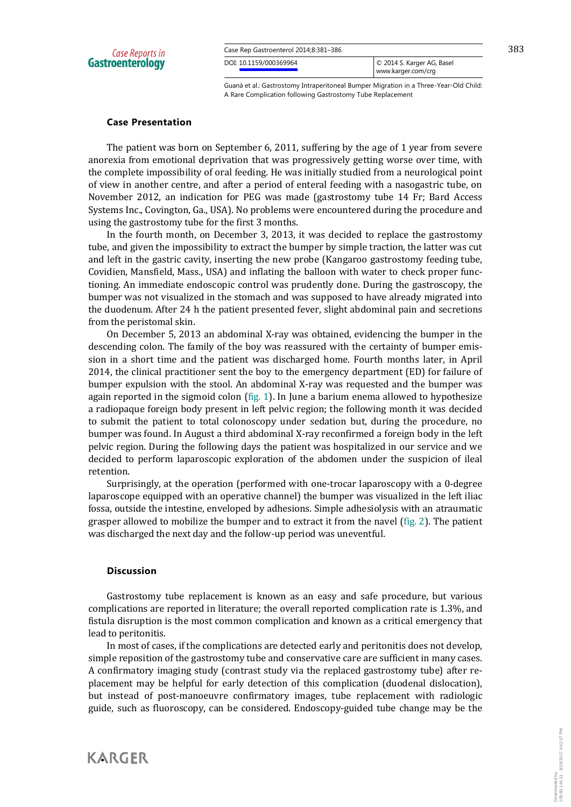| Case Reports in         |  |
|-------------------------|--|
| <b>Gastroenterology</b> |  |

| Case Rep Gastroenterol 2014;8:381-386 |                                                  |
|---------------------------------------|--------------------------------------------------|
| DOI: 10.1159/000369964                | © 2014 S. Karger AG, Basel<br>www.karger.com/crg |

Guanà et al.: Gastrostomy Intraperitoneal Bumper Migration in a Three-Year-Old Child: A Rare Complication following Gastrostomy Tube Replacement

#### **Case Presentation**

The patient was born on September 6, 2011, suffering by the age of 1 year from severe anorexia from emotional deprivation that was progressively getting worse over time, with the complete impossibility of oral feeding. He was initially studied from a neurological point of view in another centre, and after a period of enteral feeding with a nasogastric tube, on November 2012, an indication for PEG was made (gastrostomy tube 14 Fr; Bard Access Systems Inc., Covington, Ga., USA). No problems were encountered during the procedure and using the gastrostomy tube for the first 3 months.

In the fourth month, on December 3, 2013, it was decided to replace the gastrostomy tube, and given the impossibility to extract the bumper by simple traction, the latter was cut and left in the gastric cavity, inserting the new probe (Kangaroo gastrostomy feeding tube, Covidien, Mansfield, Mass., USA) and inflating the balloon with water to check proper functioning. An immediate endoscopic control was prudently done. During the gastroscopy, the bumper was not visualized in the stomach and was supposed to have already migrated into the duodenum. After 24 h the patient presented fever, slight abdominal pain and secretions from the peristomal skin.

<span id="page-3-0"></span>On December 5, 2013 an abdominal X-ray was obtained, evidencing the bumper in the descending colon. The family of the boy was reassured with the certainty of bumper emission in a short time and the patient was discharged home. Fourth months later, in April 2014, the clinical practitioner sent the boy to the emergency department (ED) for failure of bumper expulsion with the stool. An abdominal X-ray was requested and the bumper was again reported in the sigmoid colon [\(fig. 1\)](#page-6-0). In June a barium enema allowed to hypothesize a radiopaque foreign body present in left pelvic region; the following month it was decided to submit the patient to total colonoscopy under sedation but, during the procedure, no bumper was found. In August a third abdominal X-ray reconfirmed a foreign body in the left pelvic region. During the following days the patient was hospitalized in our service and we decided to perform laparoscopic exploration of the abdomen under the suspicion of ileal retention.

Surprisingly, at the operation (performed with one-trocar laparoscopy with a 0-degree laparoscope equipped with an operative channel) the bumper was visualized in the left iliac fossa, outside the intestine, enveloped by adhesions. Simple adhesiolysis with an atraumatic grasper allowed to mobilize the bumper and to extract it from the navel [\(fig. 2\)](#page-6-1). The patient was discharged the next day and the follow-up period was uneventful.

#### <span id="page-3-1"></span>**Discussion**

**KARGER** 

Gastrostomy tube replacement is known as an easy and safe procedure, but various complications are reported in literature; the overall reported complication rate is 1.3%, and fistula disruption is the most common complication and known as a critical emergency that lead to peritonitis.

In most of cases, if the complications are detected early and peritonitis does not develop, simple reposition of the gastrostomy tube and conservative care are sufficient in many cases. A confirmatory imaging study (contrast study via the replaced gastrostomy tube) after replacement may be helpful for early detection of this complication (duodenal dislocation), but instead of post-manoeuvre confirmatory images, tube replacement with radiologic guide, such as fluoroscopy, can be considered. Endoscopy-guided tube change may be the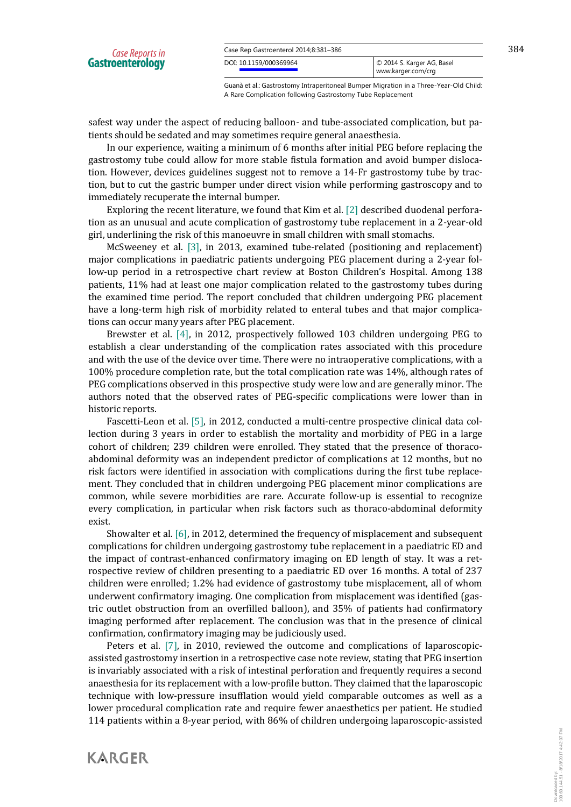#### **Case Reports in** Gastroenterology

| Case Rep Gastroenterol 2014;8:381-386 |                                                  |
|---------------------------------------|--------------------------------------------------|
| DOI: 10.1159/000369964                | © 2014 S. Karger AG, Basel<br>www.karger.com/crg |

Guanà et al.: Gastrostomy Intraperitoneal Bumper Migration in a Three-Year-Old Child: A Rare Complication following Gastrostomy Tube Replacement

safest way under the aspect of reducing balloon- and tube-associated complication, but patients should be sedated and may sometimes require general anaesthesia.

In our experience, waiting a minimum of 6 months after initial PEG before replacing the gastrostomy tube could allow for more stable fistula formation and avoid bumper dislocation. However, devices guidelines suggest not to remove a 14-Fr gastrostomy tube by traction, but to cut the gastric bumper under direct vision while performing gastroscopy and to immediately recuperate the internal bumper.

Exploring the recent literature, we found that Kim et al. [2] described duodenal perforation as an unusual and acute complication of gastrostomy tube replacement in a 2-year-old girl, underlining the risk of this manoeuvre in small children with small stomachs.

McSweeney et al. [3], in 2013, examined tube-related (positioning and replacement) major complications in paediatric patients undergoing PEG placement during a 2-year follow-up period in a retrospective chart review at Boston Children's Hospital. Among 138 patients, 11% had at least one major complication related to the gastrostomy tubes during the examined time period. The report concluded that children undergoing PEG placement have a long-term high risk of morbidity related to enteral tubes and that major complications can occur many years after PEG placement.

Brewster et al. [4], in 2012, prospectively followed 103 children undergoing PEG to establish a clear understanding of the complication rates associated with this procedure and with the use of the device over time. There were no intraoperative complications, with a 100% procedure completion rate, but the total complication rate was 14%, although rates of PEG complications observed in this prospective study were low and are generally minor. The authors noted that the observed rates of PEG-specific complications were lower than in historic reports.

Fascetti-Leon et al. [5], in 2012, conducted a multi-centre prospective clinical data collection during 3 years in order to establish the mortality and morbidity of PEG in a large cohort of children; 239 children were enrolled. They stated that the presence of thoracoabdominal deformity was an independent predictor of complications at 12 months, but no risk factors were identified in association with complications during the first tube replacement. They concluded that in children undergoing PEG placement minor complications are common, while severe morbidities are rare. Accurate follow-up is essential to recognize every complication, in particular when risk factors such as thoraco-abdominal deformity exist.

Showalter et al. [6], in 2012, determined the frequency of misplacement and subsequent complications for children undergoing gastrostomy tube replacement in a paediatric ED and the impact of contrast-enhanced confirmatory imaging on ED length of stay. It was a retrospective review of children presenting to a paediatric ED over 16 months. A total of 237 children were enrolled; 1.2% had evidence of gastrostomy tube misplacement, all of whom underwent confirmatory imaging. One complication from misplacement was identified (gastric outlet obstruction from an overfilled balloon), and 35% of patients had confirmatory imaging performed after replacement. The conclusion was that in the presence of clinical confirmation, confirmatory imaging may be judiciously used.

Peters et al. [7], in 2010, reviewed the outcome and complications of laparoscopicassisted gastrostomy insertion in a retrospective case note review, stating that PEG insertion is invariably associated with a risk of intestinal perforation and frequently requires a second anaesthesia for its replacement with a low-profile button. They claimed that the laparoscopic technique with low-pressure insufflation would yield comparable outcomes as well as a lower procedural complication rate and require fewer anaesthetics per patient. He studied 114 patients within a 8-year period, with 86% of children undergoing laparoscopic-assisted

### **KARGER**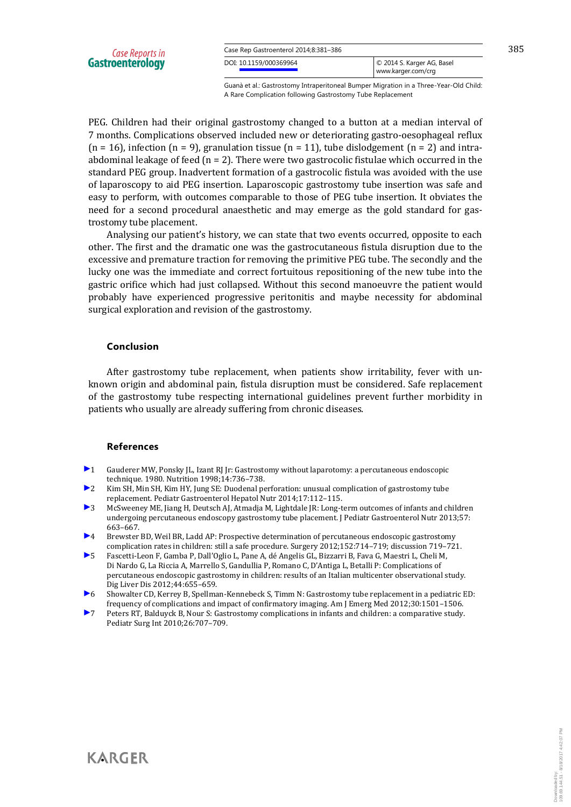| Case Reports in<br>Gastroenterology |  |
|-------------------------------------|--|

| Case Rep Gastroenterol 2014;8:381-386 |                                                  |
|---------------------------------------|--------------------------------------------------|
| DOI: 10.1159/000369964                | C 2014 S. Karger AG, Basel<br>www.karger.com/crg |

Guanà et al.: Gastrostomy Intraperitoneal Bumper Migration in a Three-Year-Old Child: A Rare Complication following Gastrostomy Tube Replacement

PEG. Children had their original gastrostomy changed to a button at a median interval of 7 months. Complications observed included new or deteriorating gastro-oesophageal reflux  $(n = 16)$ , infection  $(n = 9)$ , granulation tissue  $(n = 11)$ , tube dislodgement  $(n = 2)$  and intraabdominal leakage of feed  $(n = 2)$ . There were two gastrocolic fistulae which occurred in the standard PEG group. Inadvertent formation of a gastrocolic fistula was avoided with the use of laparoscopy to aid PEG insertion. Laparoscopic gastrostomy tube insertion was safe and easy to perform, with outcomes comparable to those of PEG tube insertion. It obviates the need for a second procedural anaesthetic and may emerge as the gold standard for gastrostomy tube placement.

Analysing our patient's history, we can state that two events occurred, opposite to each other. The first and the dramatic one was the gastrocutaneous fistula disruption due to the excessive and premature traction for removing the primitive PEG tube. The secondly and the lucky one was the immediate and correct fortuitous repositioning of the new tube into the gastric orifice which had just collapsed. Without this second manoeuvre the patient would probably have experienced progressive peritonitis and maybe necessity for abdominal surgical exploration and revision of the gastrostomy.

#### **Conclusion**

After gastrostomy tube replacement, when patients show irritability, fever with unknown origin and abdominal pain, fistula disruption must be considered. Safe replacement of the gastrostomy tube respecting international guidelines prevent further morbidity in patients who usually are already suffering from chronic diseases.

#### **References**

- 1 Gauderer MW, Ponsky JL, Izant RJ Jr: Gastrostomy without laparotomy: a percutaneous endoscopic technique. 1980. Nutrition 1998;14:736–738.
- 2 Kim SH, Min SH, Kim HY, Jung SE: Duodenal perforation: unusual complication of gastrostomy tube replacement. Pediatr Gastroenterol Hepatol Nutr 2014;17:112–115.
- 3 McSweeney ME, Jiang H, Deutsch AJ, Atmadja M, Lightdale JR: Long-term outcomes of infants and children undergoing percutaneous endoscopy gastrostomy tube placement. J Pediatr Gastroenterol Nutr 2013;57: 663–667.
- 4 Brewster BD, Weil BR, Ladd AP: Prospective determination of percutaneous endoscopic gastrostomy complication rates in children: still a safe procedure. Surgery 2012;152:714–719; discussion 719–721.
- 5 Fascetti-Leon F, Gamba P, Dall'Oglio L, Pane A, dé Angelis GL, Bizzarri B, Fava G, Maestri L, Cheli M, Di Nardo G, La Riccia A, Marrello S, Gandullia P, Romano C, D'Antiga L, Betalli P: Complications of percutaneous endoscopic gastrostomy in children: results of an Italian multicenter observational study. Dig Liver Dis 2012;44:655–659.
- 6 Showalter CD, Kerrey B, Spellman-Kennebeck S, Timm N: Gastrostomy tube replacement in a pediatric ED: frequency of complications and impact of confirmatory imaging. Am J Emerg Med 2012;30:1501–1506.
- 7 Peters RT, Balduyck B, Nour S: Gastrostomy complications in infants and children: a comparative study. Pediatr Surg Int 2010;26:707–709.

### **KARGER**